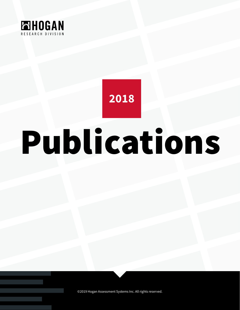

## 2018

# Publications

©2019 Hogan Assessment Systems Inc. All rights reserved.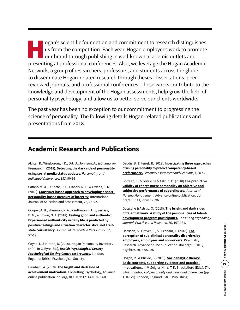ogan's scientific foundation and commitment to research distinguishes<br>us from the competition. Each year, Hogan employees work to promote<br>our brand through publishing in well-known academic outlets and<br>presenting at profes us from the competition. Each year, Hogan employees work to promote our brand through publishing in well-known academic outlets and presenting at professional conferences. Also, we leverage the Hogan Academic Network, a group of researchers, professors, and students across the globe, to disseminate Hogan-related research through theses, dissertations, peerreviewed journals, and professional conferences. These works contribute to the knowledge and development of the Hogan assessments, help grow the field of personality psychology, and allow us to better serve our clients worldwide.

The past year has been no exception to our commitment to progressing the science of personality. The following details Hogan-related publications and presentations from 2018.

#### **Academic Research and Publications**

Akhtar, R., Winsborough, D., Ort, U., Johnson, A., & Chamorro-Premuzic, T. (2018). **[Detecting the dark side of personality](http://psycnet.apa.org/record/2018-29347-015)  [using social media status updates.](http://psycnet.apa.org/record/2018-29347-015)** *Personality and Individual Differences, 132*, 90-97.

Catano, V. M., O'Keefe, D. F., Francis, R. E., & Owens, S. M. (2018). **[Construct-based approach to developing a short,](https://onlinelibrary.wiley.com/doi/full/10.1111/ijsa.12197)  [personality-based measure of integrity.](https://onlinelibrary.wiley.com/doi/full/10.1111/ijsa.12197)** International Journal of Selection and Assessment, 26, 75-92.

Cooper, A. B., Sherman, R. A., Rauthmann, J. F., Serfass, D. G., & Brown, N. A. (2018). **[Feeling good and authentic:](https://www.sciencedirect.com/science/article/abs/pii/S0092656618302964)  [Experienced authenticity in daily life is predicted by](https://www.sciencedirect.com/science/article/abs/pii/S0092656618302964)  [positive feelings and situation characteristics, not trait](https://www.sciencedirect.com/science/article/abs/pii/S0092656618302964)[state consistency](https://www.sciencedirect.com/science/article/abs/pii/S0092656618302964)**. *Journal of Research in Personality, 77*, 57-69.

Coyne, I., & Hinton, D. (2018). Hogan Personality Inventory (HPI). In C. Eyre (Ed.), *[British Psychological Society](https://ptc.bps.org.uk/test-review/hogan-personality-inventory-0)  [Psychological Testing Centre test reviews.](https://ptc.bps.org.uk/test-review/hogan-personality-inventory-0)* London, England: British Psychological Society.

Furnham, A. (2018). **[The bright and dark side of](https://link.springer.com/article/10.1007%2Fs12144-018-0060-z)  [achievement motivation.](https://link.springer.com/article/10.1007%2Fs12144-018-0060-z)** Consulting Psychology, Advance online publication. doi.org/10.1007/s12144-018-0060

Gaddis, B., & Ferrell, B. (2018). **[Investigating three approaches](https://scholarworks.bgsu.edu/pad/vol4/iss1/3/)  [of using personality to predict competency-based](https://scholarworks.bgsu.edu/pad/vol4/iss1/3/)  [performance.](https://scholarworks.bgsu.edu/pad/vol4/iss1/3/)** *Personnel Assessment and Decisions*, *4, 30-40.*

Gottlieb, T., & Gøtzsche & Astrup, O. (2018) **[The predictive](https://onlinelibrary.wiley.com/doi/full/10.1111/jonm.12696)  [validity of charge nurse personality on objective and](https://onlinelibrary.wiley.com/doi/full/10.1111/jonm.12696)  [subjective performance of subordinates](https://onlinelibrary.wiley.com/doi/full/10.1111/jonm.12696).** *Journal of Nursing Management*. Advance online publication. doi. org/10.1111/jonm.12696

Gøtzsche & Astrup, O. (2018). **[The bright and dark sides](http://psycnet.apa.org/record/2018-17967-001)  [of talent at work: A study of the personalities of talent](http://psycnet.apa.org/record/2018-17967-001)[development program participants.](http://psycnet.apa.org/record/2018-17967-001)** *Consulting Psychology Journal: Practice and Research, 70*, 167-181.

Harrison, S., Grover, S., & Furnham, A. (2018). **[The](https://www.sciencedirect.com/science/article/pii/S0165178116317474)  [perception of sub-clinical personality disorders by](https://www.sciencedirect.com/science/article/pii/S0165178116317474)  [employers, employees and co-workers.](https://www.sciencedirect.com/science/article/pii/S0165178116317474)** Psychiatry Research. Advance online publication. doi.org/10.1016/j. psychres.2018.05.036

Hogan, R., & Blickle, G. (2018). **[Socioanalytic theory:](https://www.researchgate.net/publication/303907631_Socioanalytic_Theory_Basic_concepts_supporting_evidences_and_practical_implications)  [Basic concepts, supporting evidence and practical](https://www.researchgate.net/publication/303907631_Socioanalytic_Theory_Basic_concepts_supporting_evidences_and_practical_implications)  [implications.](https://www.researchgate.net/publication/303907631_Socioanalytic_Theory_Basic_concepts_supporting_evidences_and_practical_implications)** In V. Zeigler-Hill & T. K. Shackelford (Eds.), *The SAGE handbook of personality and individual differences* (pp. 110-129). London, England: SAGE Publishing.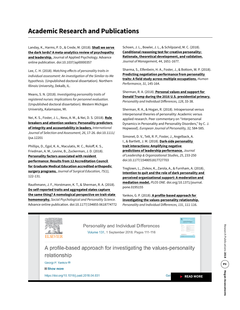### **Academic Research and Publications**

Landay, K., Harms, P. D., & Crede, M. (2018). **[Shall we serve](https://www.researchgate.net/publication/327039686_Shall_We_Serve_the_Dark_Lords_A_Meta-Analytic_Review_of_Psychopathy_and_Leadership)  [the dark lords? A meta-analytics review of psychopathy](https://www.researchgate.net/publication/327039686_Shall_We_Serve_the_Dark_Lords_A_Meta-Analytic_Review_of_Psychopathy_and_Leadership)  [and leadership.](https://www.researchgate.net/publication/327039686_Shall_We_Serve_the_Dark_Lords_A_Meta-Analytic_Review_of_Psychopathy_and_Leadership)** Journal of Applied Psychology. Advance online publication. doi:10.1037/apl0000357

Lee, C. H. (2018). *Matching effects of personality traits in individual assessment: An investigation of the Similar-to-Me hypothesis.* (Unpublished doctoral dissertation). Northern Illinois University, Dekalb, IL.

Means, S. N. (2018). *Investigating personality traits of registered nurses: Implications for personnel evaluation.* (Unpublished doctoral dissertation). Western Michigan University, Kalamazoo, MI.

Nei, K. S., Foster, J. L., Ness, A. M., & Nei, D. S. (2018). **[Rule](https://onlinelibrary.wiley.com/doi/full/10.1111/ijsa.12201)  [breakers and attention seekers: Personality predictors](https://onlinelibrary.wiley.com/doi/full/10.1111/ijsa.12201)  [of integrity and accountability in leaders](https://onlinelibrary.wiley.com/doi/full/10.1111/ijsa.12201).** *International Journal of Selection and Assessment, 26*, 17-26. doi:10.1111/ ijsa.12201

Phillips, D., Egol, K. A., Maculatis, M. C., Roloff, K. S., Friedman, A. M., Levine, B., Zuckerman, J. D. (2018). **[Personality factors associated with resident](https://www.jsurged.org/article/S1931-7204(16)30381-6/fulltext)  [performance: Results from 12 Accreditation Council](https://www.jsurged.org/article/S1931-7204(16)30381-6/fulltext)  [for Graduate Medical Education accredited orthopedic](https://www.jsurged.org/article/S1931-7204(16)30381-6/fulltext)  [surgery programs](https://www.jsurged.org/article/S1931-7204(16)30381-6/fulltext).** *Journal of Surgical Education, 75(1),* 122-131.

Rauthmann, J. F., Horstmann, K. T., & Sherman, R. A. (2018). **[Do self-reported traits and aggregated states capture](https://www.researchgate.net/publication/324525650_Do_Self-Reported_Traits_and_Aggregated_States_Capture_the_Same_Thing_A_Nomological_Perspective_on_Trait-State_Homomorphy)  [the same thing? A nomological perspective on trait-state](https://www.researchgate.net/publication/324525650_Do_Self-Reported_Traits_and_Aggregated_States_Capture_the_Same_Thing_A_Nomological_Perspective_on_Trait-State_Homomorphy)  [homomorphy.](https://www.researchgate.net/publication/324525650_Do_Self-Reported_Traits_and_Aggregated_States_Capture_the_Same_Thing_A_Nomological_Perspective_on_Trait-State_Homomorphy)** *Social Psychological and Personality Science.*  Advance online publication. doi:10.1177/194855 0618774772 Schoen, J. L., Bowler, J. L., & Schilpzand, M. C. (2018). **[Conditional reasoning test for creative personality:](https://journals.sagepub.com/doi/abs/10.1177/0149206315618012?journalCode=joma)  [Rationale, theoretical development, and validation.](https://journals.sagepub.com/doi/abs/10.1177/0149206315618012?journalCode=joma)** *Journal of Management, 44*, 1651-1677.

Sharma, S., Elfenbein, H. A., Foster, J., & Bottom, W. P. (2018). **[Predicting negotiation performance from personality](http://psycnet.apa.org/record/2018-30401-001)  [traits: A field study across multiple occupations.](http://psycnet.apa.org/record/2018-30401-001)** *Human Performance, 31*, 145-164.

Sherman, R. A. (2018). **[Personal values and support for](https://www.sciencedirect.com/science/article/pii/S0191886918300862)  [Donald Trump during the 2016 U.S. presidential primary](https://www.sciencedirect.com/science/article/pii/S0191886918300862).** *Personality and Individual Differences, 128*, 33-38.

Sherman, R. A., & Hogan, R. (2018). Intrapersonal versus interpersonal theories of personality: Academic versus applied research. Peer commentary on "Interpersonal Dynamics in Personality and Personality Disorders," by C. J. Hopwood]. *European Journal of Personality, 32,* 584-585.

Simonet, D. V., Tett, R. P., Foster, J., Angelback, A. I., & Bartlett, J. M. (2018). **[Dark-side personality](http://journals.sagepub.com/doi/abs/10.1177/1548051817727703)  [trait interactions: Amplifying negative](http://journals.sagepub.com/doi/abs/10.1177/1548051817727703)  [predictions of leadership performance](http://journals.sagepub.com/doi/abs/10.1177/1548051817727703).** *Journal of Leadership & Organizational Studies, 25*, 233-250 doi:10.1177/1548051817727703

Treglown, L., Zivkov, K., Zarola, A., & Furnham, A. (2018). **[Intention to quit and the role of dark personality and](https://journals.plos.org/plosone/article?id=10.1371/journal.pone.0195155)  [perceived organizational support: A moderation and](https://journals.plos.org/plosone/article?id=10.1371/journal.pone.0195155)  [mediation model](https://journals.plos.org/plosone/article?id=10.1371/journal.pone.0195155).** *PLOS ONE*. doi.org/10.1371/journal. pone.0195155

Yankov, G. P. (2018). **[A profile-based approach for](https://www.sciencedirect.com/science/article/pii/S0191886918302307)  [investigating the values-personality relationship](https://www.sciencedirect.com/science/article/pii/S0191886918302307).** *Personality and Individual Differences, 131*, 111-116.

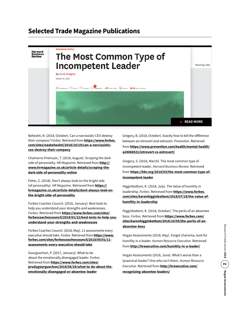#### **Selected Trade Magazine Publications**



Beheshti, N. (2018, October). Can a narcissistic CEO destroy their company? *Forbes.* Retrieved from **[https://www.forbes.](https://www.forbes.com/sites/nazbeheshti/2018/10/19/can-a-narcissistic-ceo-destroy-their-company/#d05f4d84b02e) [com/sites/nazbeheshti/2018/10/19/can-a-narcissistic](https://www.forbes.com/sites/nazbeheshti/2018/10/19/can-a-narcissistic-ceo-destroy-their-company/#d05f4d84b02e)[ceo-destroy-their-company](https://www.forbes.com/sites/nazbeheshti/2018/10/19/can-a-narcissistic-ceo-destroy-their-company/#d05f4d84b02e)**

Chamorro-Premuzic, T. (2018, August). Scraping the dark side of personality. *HR Magazine.* Retrieved from **http:// www.hrmagazine.co.uk/article-details/scraping-thedark-side-of-personality-online**

Feher, Z. (2018). Don't always look on the bright side (of personality). *HR Magazine*. Retrieved from **[https://](https://hrmagazine.co.uk/article-details/dont-always-look-on-the-bright-side-of-personality) [hrmagazine.co.uk/article-details/dont-always-look-on](https://hrmagazine.co.uk/article-details/dont-always-look-on-the-bright-side-of-personality)[the-bright-side-of-personality](https://hrmagazine.co.uk/article-details/dont-always-look-on-the-bright-side-of-personality)**

Forbes Coaches Council. (2018, January). Best tests to help you understand your strengths and weaknesses. *Forbes.* Retrieved from **[https://www.forbes.com/sites/](https://www.forbes.com/sites/forbescoachescouncil/2018/01/22/best-tests-to-help-you-understand-your-strengths-and-weaknesses) [forbescoachescouncil/2018/01/22/best-tests-to-help-you](https://www.forbes.com/sites/forbescoachescouncil/2018/01/22/best-tests-to-help-you-understand-your-strengths-and-weaknesses)[understand-your-strengths-and-weaknesses](https://www.forbes.com/sites/forbescoachescouncil/2018/01/22/best-tests-to-help-you-understand-your-strengths-and-weaknesses)**

Forbes Coaches Council. (2018, May). 11 assessments every executive should take. *Forbes.* Retrieved from **[https://www.](https://www.forbes.com/sites/forbescoachescouncil/2018/05/01/11-assessments-every-executive-should-take) [forbes.com/sites/forbescoachescouncil/2018/05/01/11](https://www.forbes.com/sites/forbescoachescouncil/2018/05/01/11-assessments-every-executive-should-take) [assessments-every-executive-should-take](https://www.forbes.com/sites/forbescoachescouncil/2018/05/01/11-assessments-every-executive-should-take)**

Gourguechon, P. (2017, January). What to do about the emotionally disengaged leader. *Forbes.*  Retrieved from **[https://www.forbes.com/sites/](https://www.forbes.com/sites/prudygourguechon/2018/06/26/what-to-do-about-the-emotionally-disengaged-or-absentee-leader) [prudygourguechon/2018/06/26/what-to-do-about-the](https://www.forbes.com/sites/prudygourguechon/2018/06/26/what-to-do-about-the-emotionally-disengaged-or-absentee-leader)[emotionally-disengaged-or-absentee-leader](https://www.forbes.com/sites/prudygourguechon/2018/06/26/what-to-do-about-the-emotionally-disengaged-or-absentee-leader)**

Gregory, B. (2018, October). Exactly how to tell the difference between an introvert and extrovert. *Prevention*. Retrieved from **[https://www.prevention.com/health/mental-health/](https://www.prevention.com/health/mental-health/a24068521/introvert-vs-extrovert/) [a24068521/introvert-vs-extrovert/](https://www.prevention.com/health/mental-health/a24068521/introvert-vs-extrovert/)**

Gregory, S. (2018, March). The most common type of incompetent leader. *Harvard Business Review.* Retrieved from **[https://hbr.org/2018/03/the-most-common-type-of](https://hbr.org/2018/03/the-most-common-type-of-incompetent-leader)[incompetent-leader](https://hbr.org/2018/03/the-most-common-type-of-incompetent-leader)**

Higginbottom, K. (2018, July). The Value of humility in leadership. *Forbes.* Retrieved from **[https://www.forbes.](https://www.forbes.com/sites/karenhigginbottom/2018/07/18/the-value-of-humility-in-leadership) [com/sites/karenhigginbottom/2018/07/18/the-value-of](https://www.forbes.com/sites/karenhigginbottom/2018/07/18/the-value-of-humility-in-leadership)[humility-in-leadership](https://www.forbes.com/sites/karenhigginbottom/2018/07/18/the-value-of-humility-in-leadership)**

Higginbottom, K. (2018, October). The perils of an absentee boss. *Forbes.* Retrieved from **[https://www.forbes.com/](https://www.forbes.com/sites/karenhigginbottom/2018/10/05/the-perils-of-an-absentee-boss) [sites/karenhigginbottom/2018/10/05/the-perils-of-an](https://www.forbes.com/sites/karenhigginbottom/2018/10/05/the-perils-of-an-absentee-boss)[absentee-boss](https://www.forbes.com/sites/karenhigginbottom/2018/10/05/the-perils-of-an-absentee-boss)**

Hogan Assessments (2018, May). Forget charisma, look for humility in a leader. *Human Resource Executive.* Retrieved from **<http://hrexecutive.com/humility-in-a-leader/>**

Hogan Assessments (2018, June). What's worse than a tyrannical leader? One who isn't there. *Human Resource Executive.* Retrieved from **[http://hrexecutive.com/](http://hrexecutive.com/recognizing-absentee-leaders/) [recognizing-absentee-leaders/](http://hrexecutive.com/recognizing-absentee-leaders/)**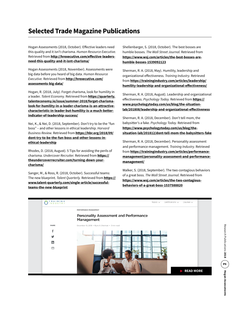#### **Selected Trade Magazine Publications**

Hogan Assessments (2018, October). Effective leaders need this quality and it isn't charisma. *Human Resource Executive.* Retrieved from **[http://hrexecutive.com/effective-leaders](http://hrexecutive.com/effective-leaders-need-this-quality-and-it-isnt-charisma/)[need-this-quality-and-it-isnt-charisma/](http://hrexecutive.com/effective-leaders-need-this-quality-and-it-isnt-charisma/)**

Hogan Assessments (2018, November). Assessments were big data before you heard of big data. *Human Resource Executive.* Retrieved from **[http://hrexecutive.com/](http://hrexecutive.com/assessments-big-data/) [assessments-big-data/](http://hrexecutive.com/assessments-big-data/)**

Hogan, R. (2018, July). Forget charisma, look for humility in a leader. *Talent Economy.* Retrieved from **[https://quarterly.](https://quarterly.talenteconomy.io/issue/summer-2018/forget-charisma-look-for-humility-in-a-leader-charisma-is-an-attractive-characteristic-in-leader-but-humility-is-a-much-better-indicator-of-leadership-success/) [talenteconomy.io/issue/summer-2018/forget-charisma](https://quarterly.talenteconomy.io/issue/summer-2018/forget-charisma-look-for-humility-in-a-leader-charisma-is-an-attractive-characteristic-in-leader-but-humility-is-a-much-better-indicator-of-leadership-success/)[look-for-humility-in-a-leader-charisma-is-an-attractive](https://quarterly.talenteconomy.io/issue/summer-2018/forget-charisma-look-for-humility-in-a-leader-charisma-is-an-attractive-characteristic-in-leader-but-humility-is-a-much-better-indicator-of-leadership-success/)[characteristic-in-leader-but-humility-is-a-much-better](https://quarterly.talenteconomy.io/issue/summer-2018/forget-charisma-look-for-humility-in-a-leader-charisma-is-an-attractive-characteristic-in-leader-but-humility-is-a-much-better-indicator-of-leadership-success/)[indicator-of-leadership-success/](https://quarterly.talenteconomy.io/issue/summer-2018/forget-charisma-look-for-humility-in-a-leader-charisma-is-an-attractive-characteristic-in-leader-but-humility-is-a-much-better-indicator-of-leadership-success/)**

Nei, K., & Nei, D. (2018, September). Don't try to be the "fun boss" – and other lessons in ethical leadership. *Harvard Business Review.* Retrieved from **[https://hbr.org/2018/09/](https://hbr.org/2018/09/dont-try-to-be-the-fun-boss-and-other-lessons-in-ethical-leadership) [dont-try-to-be-the-fun-boss-and-other-lessons-in](https://hbr.org/2018/09/dont-try-to-be-the-fun-boss-and-other-lessons-in-ethical-leadership)[ethical-leadership](https://hbr.org/2018/09/dont-try-to-be-the-fun-boss-and-other-lessons-in-ethical-leadership)**

Rhodes, D. (2018, August). 5 Tips for avoiding the perils of charisma. *Undercover Recruiter.* Retrieved from **[https://](https://theundercoverrecruiter.com/turning-down-your-charisma/) [theundercoverrecruiter.com/turning-down-your](https://theundercoverrecruiter.com/turning-down-your-charisma/)[charisma/](https://theundercoverrecruiter.com/turning-down-your-charisma/)**

Sanger, M., & Ross, R. (2018, October). Successful teams: The new blueprint. *Talent Quarterly.* Retrieved from **[https://](https://www.talent-quarterly.com/single-article/successful-teams-the-new-blueprint) [www.talent-quarterly.com/single-article/successful](https://www.talent-quarterly.com/single-article/successful-teams-the-new-blueprint)[teams-the-new-blueprint](https://www.talent-quarterly.com/single-article/successful-teams-the-new-blueprint)**

Shellenbarger, S. (2018, October). The best bosses are humble bosses. *The Wall Street Journal.* Retrieved from **[https://www.wsj.com/articles/the-best-bosses-are](https://www.wsj.com/articles/the-best-bosses-are-humble-bosses-1539092123)[humble-bosses-1539092123](https://www.wsj.com/articles/the-best-bosses-are-humble-bosses-1539092123)**

Sherman, R. A. (2018, May). Humility, leadership and organizational effectiveness. *Training Industry.* Retrieved from **[https://trainingindustry.com/articles/leadership/](https://trainingindustry.com/articles/leadership/humility-leadership-and-organizational-effectiveness/) [humility-leadership-and-organizational-effectiveness/](https://trainingindustry.com/articles/leadership/humility-leadership-and-organizational-effectiveness/)**

Sherman, R. A. (2018, August). Leadership and organizational effectiveness. *Psychology Today.* Retrieved from **[https://](https://www.psychologytoday.com/us/blog/the-situation-lab/201808/leadership-and-organizational-effectiveness) [www.psychologytoday.com/us/blog/the-situation](https://www.psychologytoday.com/us/blog/the-situation-lab/201808/leadership-and-organizational-effectiveness)[lab/201808/leadership-and-organizational-effectiveness](https://www.psychologytoday.com/us/blog/the-situation-lab/201808/leadership-and-organizational-effectiveness)**

Sherman, R. A. (2018, December). Don't tell mom, the babysitter's a fake. *Psychology Today.* Retrieved from **[https://www.psychologytoday.com/us/blog/the](https://www.psychologytoday.com/us/blog/the-situation-lab/201812/dont-tell-mom-the-babysitters-fake)[situation-lab/201812/dont-tell-mom-the-babysitters-fake](https://www.psychologytoday.com/us/blog/the-situation-lab/201812/dont-tell-mom-the-babysitters-fake)**

Sherman, R. A. (2018, December). Personality assessment and performance management. *Training Industry.* Retrieved from **[https://trainingindustry.com/articles/performance](https://trainingindustry.com/articles/performance-management/personality-assessment-and-performance-management/)[management/personality-assessment-and-performance](https://trainingindustry.com/articles/performance-management/personality-assessment-and-performance-management/)[management/](https://trainingindustry.com/articles/performance-management/personality-assessment-and-performance-management/)**

Walker, S. (2018, September). The two contagious behaviors of a great boss. *The Wall Street Journal*. Retrieved from **[https://www.wsj.com/articles/the-two-contagious](https://www.wsj.com/articles/the-two-contagious-behaviors-of-a-great-boss-1537588820?shareToken=st9c93f37a40e44a62a0d4b10fb8639968&ref=article_email_share)[behaviors-of-a-great-boss-1537588820](https://www.wsj.com/articles/the-two-contagious-behaviors-of-a-great-boss-1537588820?shareToken=st9c93f37a40e44a62a0d4b10fb8639968&ref=article_email_share)**

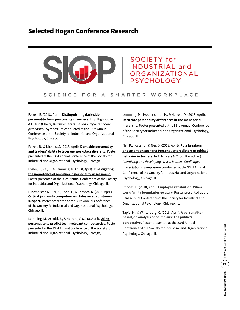

#### **SOCIETY for INDUSTRIAL and** ORGANIZATIONAL **PSYCHOLOGY**

#### SCIENCE FOR A SMARTER WORKPLACE

Ferrell, B. (2018, April). **[Distinguishing dark-side](https://www.hoganhub.com/portals/hogan-hub/#share/request/ee74f175-2e88-4bd1-abf9-b729610e7c54)  [personality from personality disorders.](https://www.hoganhub.com/portals/hogan-hub/#share/request/ee74f175-2e88-4bd1-abf9-b729610e7c54)** In S. Highhouse & H. Min (Chair), *Measurement issues and impacts of dark personality*. Symposium conducted at the 33rd Annual Conference of the Society for Industrial and Organizational Psychology, Chicago, IL.

Ferrell, B., & Nichols, S. (2018, April). **[Dark-side personality](https://www.hoganhub.com/portals/hogan-hub/#share/request/2a67b9ad-cbaf-4932-b8f4-5689b37b0a8b)  [and leaders' ability to leverage workplace diversity.](https://www.hoganhub.com/portals/hogan-hub/#share/request/2a67b9ad-cbaf-4932-b8f4-5689b37b0a8b)** Poster presented at the 33rd Annual Conference of the Society for Industrial and Organizational Psychology, Chicago, IL.

Foster, J., Nei, K., & Lemming, M. (2018, April). **[Investigating](https://www.hoganhub.com/portals/hogan-hub/#share/request/88051282-40f2-4f33-9410-85c64f3ec908)  [the importance of ambition in personality assessment.](https://www.hoganhub.com/portals/hogan-hub/#share/request/88051282-40f2-4f33-9410-85c64f3ec908)** Poster presented at the 33rd Annual Conference of the Society for Industrial and Organizational Psychology, Chicago, IL.

Fuhrmeister, K., Nei, K., Tecle, L., & Fonseca, R. (2018, April). **[Critical job family competencies: Sales versus customer](https://www.hoganhub.com/portals/hogan-hub/#share/request/94c5ce91-2e37-4688-8859-e52ccada3fcc)  [support.](https://www.hoganhub.com/portals/hogan-hub/#share/request/94c5ce91-2e37-4688-8859-e52ccada3fcc)** Poster presented at the 33rd Annual Conference of the Society for Industrial and Organizational Psychology, Chicago, IL.

Lemming, M., Arnold, B., & Herrera, V. (2018, April). **[Using](https://www.hoganhub.com/portals/hogan-hub/#share/request/a74201d1-06cb-4130-bf79-7b699c4a5dbd)  [personality to predict team-relevant competencies.](https://www.hoganhub.com/portals/hogan-hub/#share/request/a74201d1-06cb-4130-bf79-7b699c4a5dbd)** Poster presented at the 33rd Annual Conference of the Society for Industrial and Organizational Psychology, Chicago, IL.

Lemming, M., Hockensmith, K., & Herrera, V. (2018, April). **[Dark side personality differences in the managerial](https://www.hoganhub.com/portals/hogan-hub/#share/request/2264452f-4270-4b2a-bc1f-c990a45fd6fe)  [hierarchy.](https://www.hoganhub.com/portals/hogan-hub/#share/request/2264452f-4270-4b2a-bc1f-c990a45fd6fe)** Poster presented at the 33rd Annual Conference of the Society for Industrial and Organizational Psychology, Chicago, IL.

Nei, K., Foster, J., & Nei, D. (2018, April). **[Rule breakers](https://www.hoganhub.com/portals/hogan-hub/#share/request/7fff07bc-5775-4db8-a2fa-279c51764b1c)  [and attention seekers: Personality predictors of ethical](https://www.hoganhub.com/portals/hogan-hub/#share/request/7fff07bc-5775-4db8-a2fa-279c51764b1c)  [behavior in leaders.](https://www.hoganhub.com/portals/hogan-hub/#share/request/7fff07bc-5775-4db8-a2fa-279c51764b1c)** In A. M. Ness & C. Coultas (Chair), *Identifying and developing ethical leaders: Challenges and solutions.* Symposium conducted at the 33rd Annual Conference of the Society for Industrial and Organizational Psychology, Chicago, IL.

Rhodes, D. (2018, April). **[Employee retribution: When](https://www.hoganhub.com/portals/hogan-hub/#share/request/1bbe37ef-91ba-472e-86b7-ce3181cf4a62)  [work-family boundaries go awry.](https://www.hoganhub.com/portals/hogan-hub/#share/request/1bbe37ef-91ba-472e-86b7-ce3181cf4a62)** Poster presented at the 33rd Annual Conference of the Society for Industrial and Organizational Psychology, Chicago, IL.

Tapia, M., & Winterburg, C. (2018, April). **[A personality](https://www.hoganhub.com/portals/hogan-hub/#share/request/14ac3c3a-4672-47ec-8c96-af4a1504a98d)[based job analysis of politicians: The public's](https://www.hoganhub.com/portals/hogan-hub/#share/request/14ac3c3a-4672-47ec-8c96-af4a1504a98d)  [perspective.](https://www.hoganhub.com/portals/hogan-hub/#share/request/14ac3c3a-4672-47ec-8c96-af4a1504a98d)** Poster presented at the 33rd Annual Conference of the Society for Industrial and Organizational Psychology, Chicago, IL.